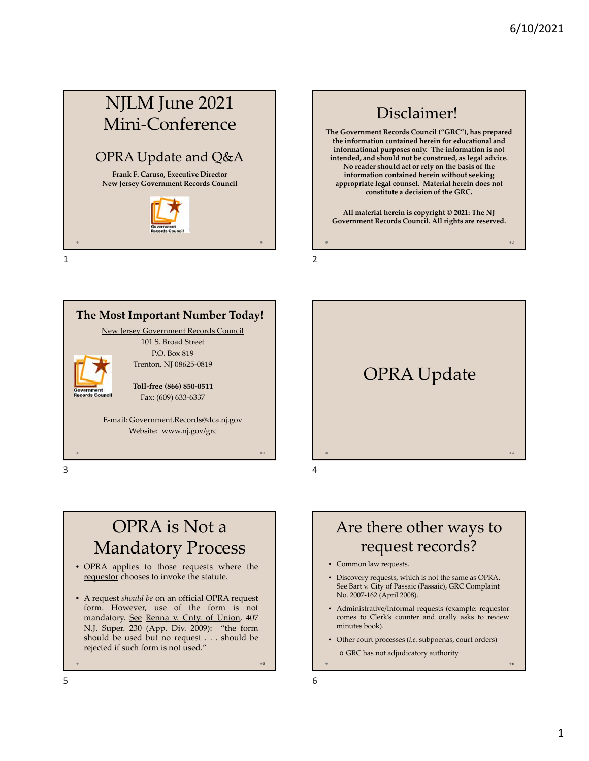# NJLM June 2021 Mini-Conference

## OPRA Update and Q&A

**Frank F. Caruso, Executive Director New Jersey Government Records Council**



 $1$  2







## OPRA is Not a Mandatory Process

- OPRA applies to those requests where the requestor chooses to invoke the statute.
- A request *should be* on an official OPRA request form. However, use of the form is not mandatory. See Renna v. Cnty. of Union, 407 N.J. Super. 230 (App. Div. 2009): "the form should be used but no request . . . should be rejected if such form is not used."

Are there other ways to request records?

- Common law requests.
- Discovery requests, which is not the same as OPRA. See Bart v. City of Passaic (Passaic), GRC Complaint No. 2007-162 (April 2008).
- Administrative/Informal requests (example: requestor comes to Clerk's counter and orally asks to review minutes book).
- Other court processes (*i.e.* subpoenas, court orders)
- o GRC has not adjudicatory authority

5

6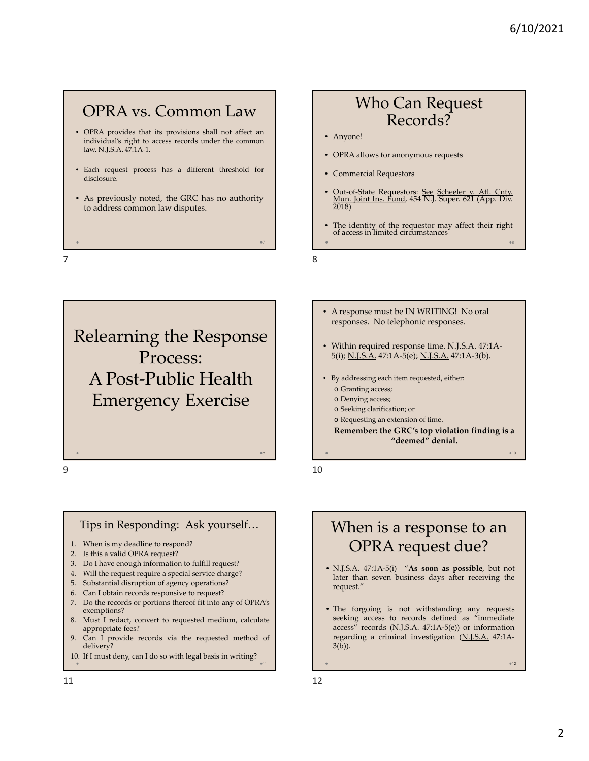8

 $010$ 

 $0.12$ 

### OPRA vs. Common Law

- OPRA provides that its provisions shall not affect an individual's right to access records under the common law. N.J.S.A. 47:1A-1.
- Each request process has a different threshold for disclosure.
- As previously noted, the GRC has no authority to address common law disputes.
- 

### Who Can Request Records?

- Anyone!
- OPRA allows for anonymous requests
- Commercial Requestors
- Out-of-State Requestors: See Scheeler v. Atl. Cnty. Mun. Joint Ins. Fund, 454 N.J. Super. 621 (App. Div. 2018)
- The identity of the requestor may affect their right of access in limited circumstances

 $7$ 

Relearning the Response Process: A Post-Public Health Emergency Exercise

#### Tips in Responding: Ask yourself…

- 1. When is my deadline to respond?
- 2. Is this a valid OPRA request?
- 3. Do I have enough information to fulfill request?
- 4. Will the request require a special service charge?
- 5. Substantial disruption of agency operations?
- 6. Can I obtain records responsive to request?
- 7. Do the records or portions thereof fit into any of OPRA's exemptions?
- 8. Must I redact, convert to requested medium, calculate appropriate fees?
- 9. Can I provide records via the requested method of delivery?
- 10. If I must deny, can I do so with legal basis in writing?
- A response must be IN WRITING! No oral responses. No telephonic responses.
- Within required response time. N.J.S.A. 47:1A-5(i); N.J.S.A. 47:1A-5(e); N.J.S.A. 47:1A-3(b).
- By addressing each item requested, either:
	- o Granting access;
	- o Denying access;
	- o Seeking clarification; or
	- o Requesting an extension of time.

**Remember: the GRC's top violation finding is a "deemed" denial.**

 $9 \hspace{2.5cm} 10$ 

9

## When is a response to an OPRA request due?

- N.J.S.A. 47:1A-5(i) "**As soon as possible**, but not later than seven business days after receiving the request."
- The forgoing is not withstanding any requests seeking access to records defined as "immediate access" records  $(M.I.S.A. 47:1A-5(e))$  or information regarding a criminal investigation (N.J.S.A. 47:1A-3(b)).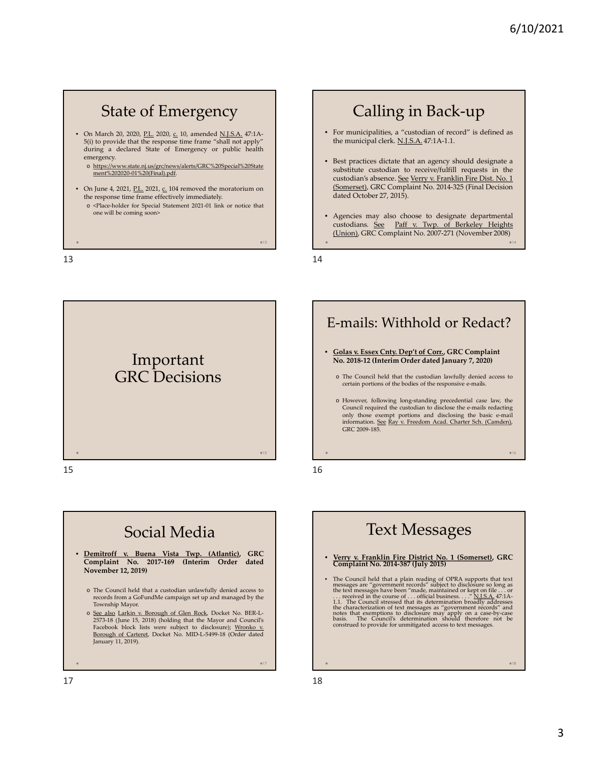14

16

018

## State of Emergency

- On March 20, 2020, P.L. 2020, c. 10, amended N.J.S.A. 47:1A-5(i) to provide that the response time frame "shall not apply" during a declared State of Emergency or public health emergency.
	- o https://www.state.nj.us/grc/news/alerts/GRC%20Special%20State ment%202020-01%20(Final).pdf.
- On June 4, 2021, P.L. 2021,  $\underline{c}$ . 104 removed the moratorium on the response time frame effectively immediately. o <Place-holder for Special Statement 2021-01 link or notice that one will be coming soon>

 $13$  and  $14$ 





## Calling in Back-up

- For municipalities, a "custodian of record" is defined as the municipal clerk. N.J.S.A. 47:1A-1.1.
- Best practices dictate that an agency should designate a substitute custodian to receive/fulfill requests in the custodian's absence. See Verry v. Franklin Fire Dist. No. 1 (Somerset), GRC Complaint No. 2014-325 (Final Decision dated October 27, 2015).
- Agencies may also choose to designate departmental custodians. See Paff v. Twp. of Berkeley Heights (Union), GRC Complaint No. 2007-271 (November 2008)

 $-13$ 

### E-mails: Withhold or Redact? • **Golas v. Essex Cnty. Dep't of Corr., GRC Complaint No. 2018-12 (Interim Order dated January 7, 2020)**

- o The Council held that the custodian lawfully denied access to certain portions of the bodies of the responsive e-mails.
- o However, following long-standing precedential case law, the Council required the custodian to disclose the e-mails redacting only those exempt portions and disclosing the basic e-mail information. See Ray v. Freedom Acad. Charter Sch. (Camden), GRC 2009-185.

## Text Messages

- **Verry v. Franklin Fire District No. 1 (Somerset), GRC Complaint No. 2014-387 (July 2015)**
- The Council held that a plain reading of OPRA supports that text messages are "government records" subject to disclosure so long as the text messages have been "made, maintained or kept on file ... or ... received in th

 $017$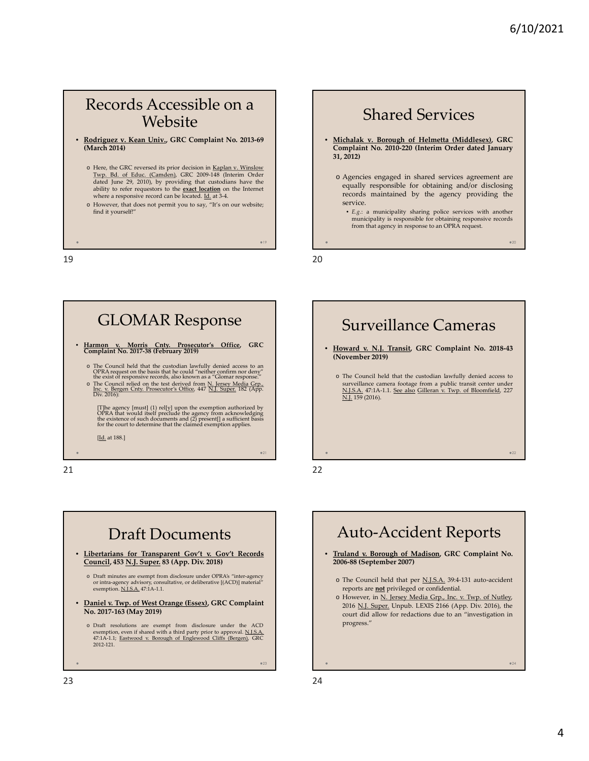### Records Accessible on a Website

- **Rodriguez v. Kean Univ., GRC Complaint No. 2013-69 (March 2014)**
	- o Here, the GRC reversed its prior decision in Kaplan v. Winslow Twp. Bd. of Educ. (Camden), GRC 2009-148 (Interim Order dated June 29, 2010), by providing that custodians have the ability to refer requestors to the **exact location** on the Internet where a responsive record can be located. Id. at 3-4.
	- o However, that does not permit you to say, "It's on our website; find it yourself!"

19 20

#### Shared Services • **Michalak v. Borough of Helmetta (Middlesex), GRC Complaint No. 2010-220 (Interim Order dated January 31, 2012)** o Agencies engaged in shared services agreement are equally responsible for obtaining and/or disclosing records maintained by the agency providing the service. • *E.g.*: a municipality sharing police services with another municipality is responsible for obtaining responsive records from that agency in response to an OPRA request.

 $-19$ 





## • **Howard v. N.J. Transit, GRC Complaint No. 2018-43** Surveillance Cameras

- **(November 2019)** o The Council held that the custodian lawfully denied access to surveillance camera footage from a public transit center under
- N.J.S.A. 47:1A-1.1. See also Gilleran v. Twp. of Bloomfield, 227 N.J. 159 (2016).

## Auto-Accident Reports

- **Truland v. Borough of Madison, GRC Complaint No. 2006-88 (September 2007)**
	- o The Council held that per N.J.S.A. 39:4-131 auto-accident reports are **not** privileged or confidential.
	- o However, in N. Jersey Media Grp., Inc. v. Twp. of Nutley, 2016 N.J. Super. Unpub. LEXIS 2166 (App. Div. 2016), the court did allow for redactions due to an "investigation in progress."

 $0.24$ 

 $^{\circ}22$